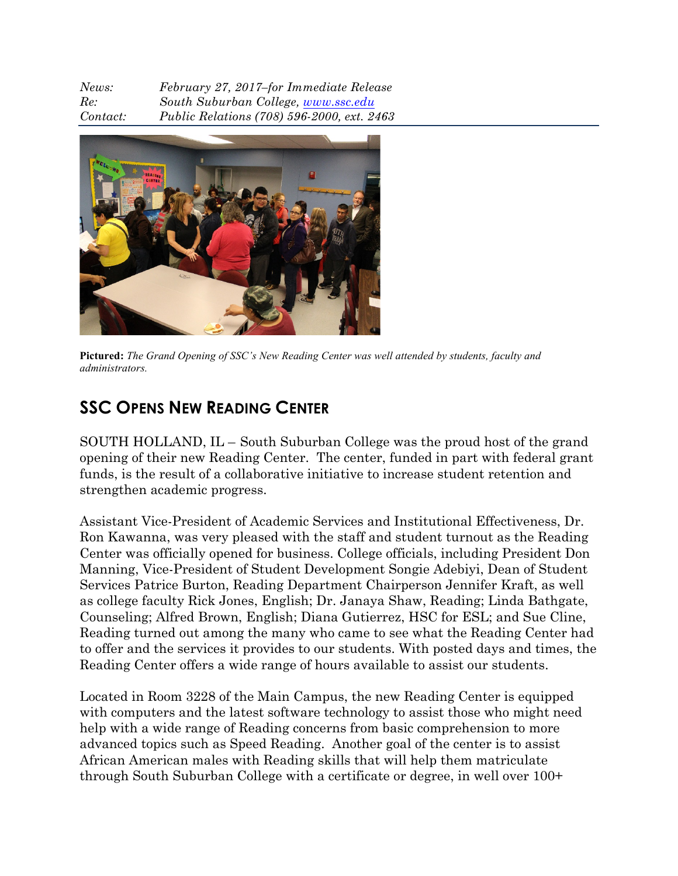*News: February 27, 2017–for Immediate Release Re: South Suburban College, www.ssc.edu Contact: Public Relations (708) 596-2000, ext. 2463*



**Pictured:** *The Grand Opening of SSC's New Reading Center was well attended by students, faculty and administrators.*

## **SSC OPENS NEW READING CENTER**

SOUTH HOLLAND, IL – South Suburban College was the proud host of the grand opening of their new Reading Center. The center, funded in part with federal grant funds, is the result of a collaborative initiative to increase student retention and strengthen academic progress.

Assistant Vice-President of Academic Services and Institutional Effectiveness, Dr. Ron Kawanna, was very pleased with the staff and student turnout as the Reading Center was officially opened for business. College officials, including President Don Manning, Vice-President of Student Development Songie Adebiyi, Dean of Student Services Patrice Burton, Reading Department Chairperson Jennifer Kraft, as well as college faculty Rick Jones, English; Dr. Janaya Shaw, Reading; Linda Bathgate, Counseling; Alfred Brown, English; Diana Gutierrez, HSC for ESL; and Sue Cline, Reading turned out among the many who came to see what the Reading Center had to offer and the services it provides to our students. With posted days and times, the Reading Center offers a wide range of hours available to assist our students.

Located in Room 3228 of the Main Campus, the new Reading Center is equipped with computers and the latest software technology to assist those who might need help with a wide range of Reading concerns from basic comprehension to more advanced topics such as Speed Reading. Another goal of the center is to assist African American males with Reading skills that will help them matriculate through South Suburban College with a certificate or degree, in well over 100+